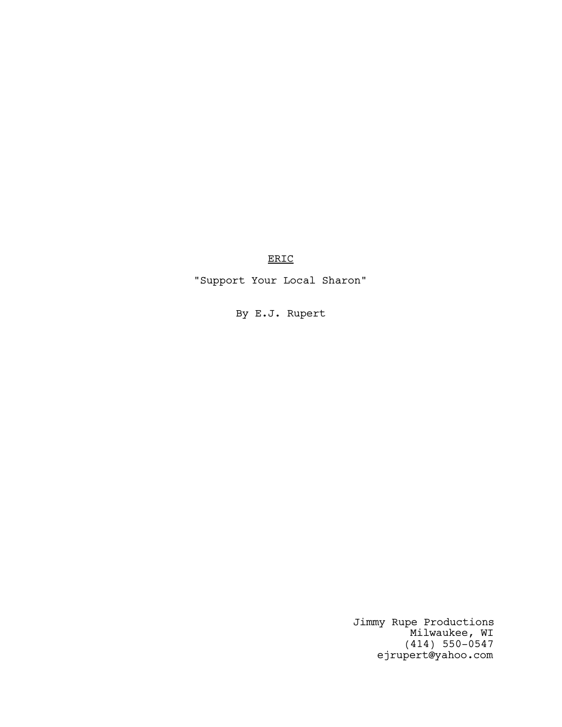ERIC

"Support Your Local Sharon"

By E.J. Rupert

Jimmy Rupe Productions Milwaukee, WI (414) 550-0547 ejrupert@yahoo.com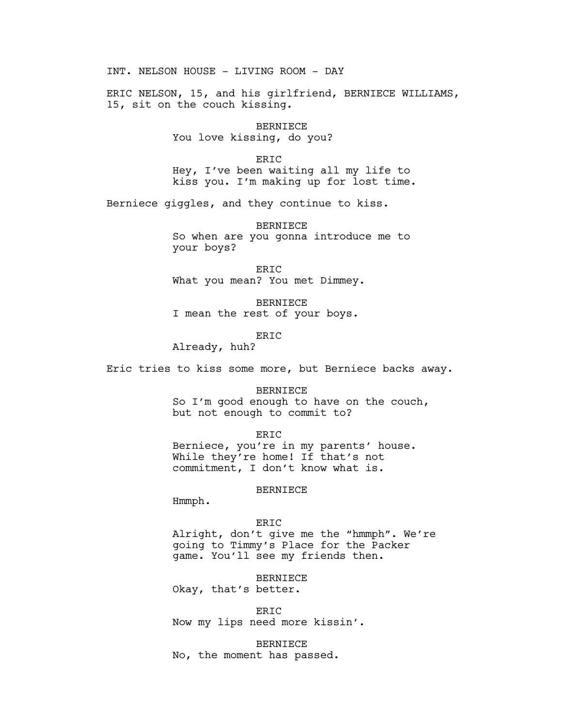INT. NELSON HOUSE - LIVING ROOM - DAY

ERIC NELSON, 15, and his girlfriend, BERNIECE WILLIAMS, 15, sit on the couch kissing.

> BERNIECE You love kissing, do you?

ERIC Hey, I've been waiting all my life to kiss you. I'm making up for lost time.

Berniece giggles, and they continue to kiss.

BERNIECE So when are you gonna introduce me to your boys?

ERIC What you mean? You met Dimmey.

BERNIECE I mean the rest of your boys.

ERIC

Already, huh?

Eric tries to kiss some more, but Berniece backs away.

BERNIECE So I'm good enough to have on the couch, but not enough to commit to?

ERIC

Berniece, you're in my parents' house. While they're home! If that's not commitment, I don't know what is.

## BERNIECE

Hmmph.

#### ERIC

Alright, don't give me the "hmmph". We're going to Timmy's Place for the Packer game. You'll see my friends then.

BERNIECE

Okay, that's better.

ERIC Now my lips need more kissin'.

BERNIECE No, the moment has passed.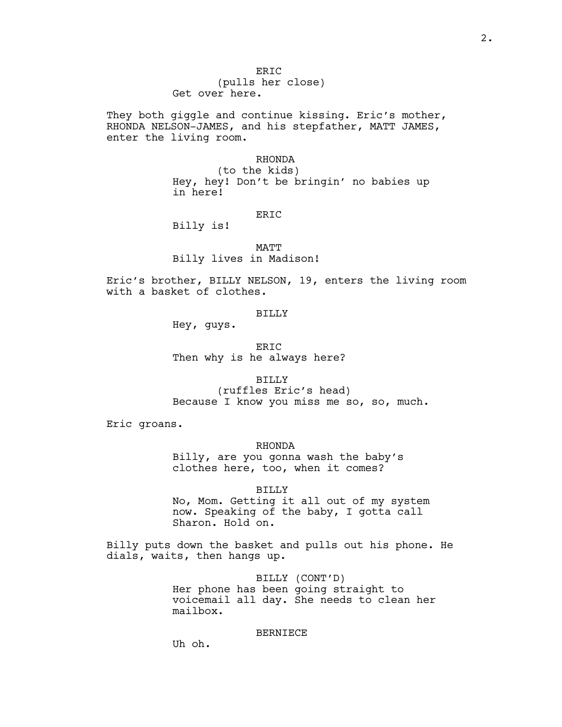They both giggle and continue kissing. Eric's mother, RHONDA NELSON-JAMES, and his stepfather, MATT JAMES, enter the living room.

## RHONDA

(to the kids) Hey, hey! Don't be bringin' no babies up in here!

# ER<sub>TC</sub>

Billy is!

MATT Billy lives in Madison!

Eric's brother, BILLY NELSON, 19, enters the living room with a basket of clothes.

# BILLY

Hey, guys.

ERIC Then why is he always here?

BILLY (ruffles Eric's head) Because I know you miss me so, so, much.

Eric groans.

RHONDA Billy, are you gonna wash the baby's clothes here, too, when it comes?

#### BILLY

No, Mom. Getting it all out of my system now. Speaking of the baby, I gotta call Sharon. Hold on.

Billy puts down the basket and pulls out his phone. He dials, waits, then hangs up.

> BILLY (CONT'D) Her phone has been going straight to voicemail all day. She needs to clean her mailbox.

#### BERNIECE

Uh oh.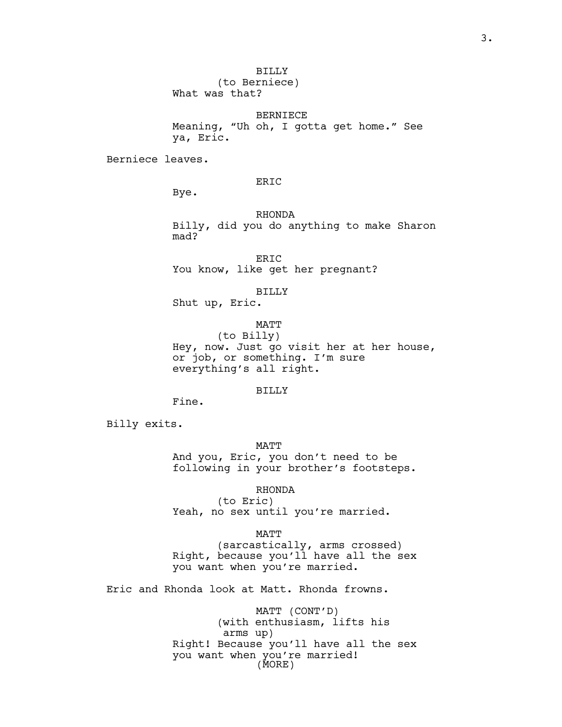BILLY

(to Berniece) What was that?

BERNIECE Meaning, "Uh oh, I gotta get home." See ya, Eric.

Berniece leaves.

ERIC

Bye.

RHONDA Billy, did you do anything to make Sharon mad?

ERIC You know, like get her pregnant?

BILLY

Shut up, Eric.

MATT

(to Billy) Hey, now. Just go visit her at her house, or job, or something. I'm sure everything's all right.

# BILLY

Fine.

Billy exits.

MATT And you, Eric, you don't need to be following in your brother's footsteps.

RHONDA (to Eric) Yeah, no sex until you're married.

MATT (sarcastically, arms crossed) Right, because you'll have all the sex you want when you're married.

Eric and Rhonda look at Matt. Rhonda frowns.

MATT (CONT'D) (with enthusiasm, lifts his arms up) Right! Because you'll have all the sex you want when you're married! (MORE)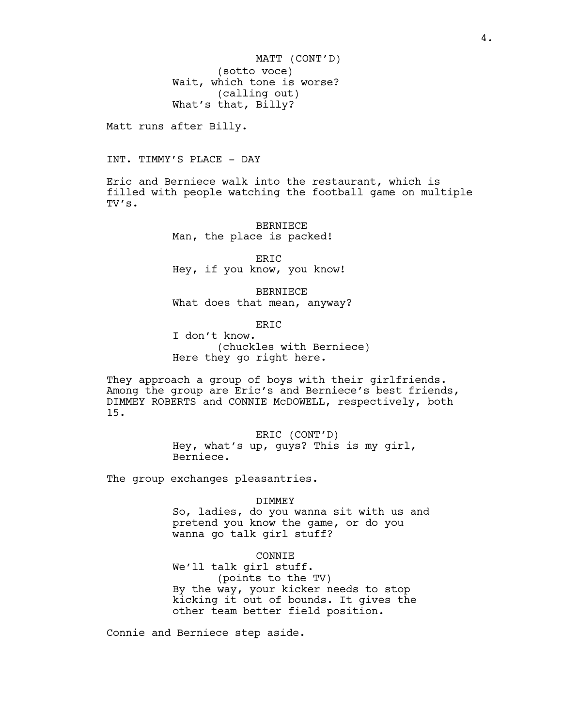(sotto voce) Wait, which tone is worse? (calling out) What's that, Billy? MATT (CONT'D)

Matt runs after Billy.

INT. TIMMY'S PLACE - DAY

Eric and Berniece walk into the restaurant, which is filled with people watching the football game on multiple TV's.

> BERNIECE Man, the place is packed!

ERIC Hey, if you know, you know!

BERNIECE What does that mean, anyway?

ERIC

I don't know. (chuckles with Berniece) Here they go right here.

They approach a group of boys with their girlfriends. Among the group are Eric's and Berniece's best friends, DIMMEY ROBERTS and CONNIE McDOWELL, respectively, both 15.

> ERIC (CONT'D) Hey, what's up, guys? This is my girl, Berniece.

The group exchanges pleasantries.

#### DIMMEY

So, ladies, do you wanna sit with us and pretend you know the game, or do you wanna go talk girl stuff?

# CONNIE

We'll talk girl stuff. (points to the TV) By the way, your kicker needs to stop kicking it out of bounds. It gives the other team better field position.

Connie and Berniece step aside.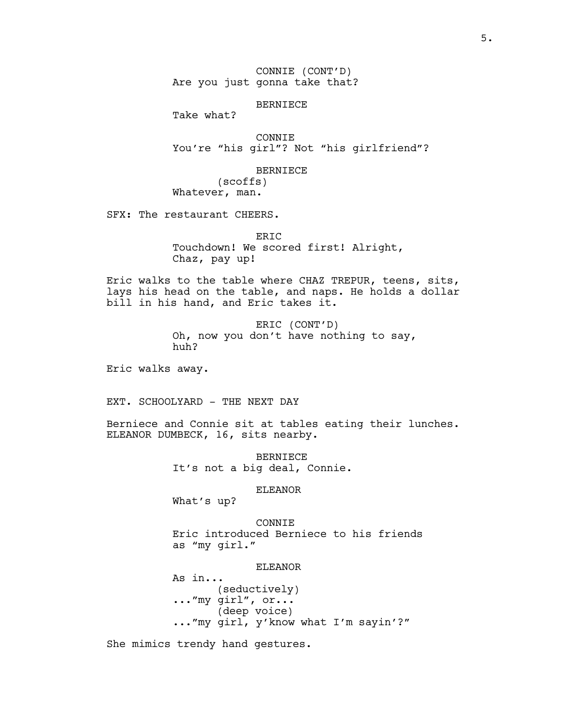CONNIE (CONT'D) Are you just gonna take that?

## BERNIECE

Take what?

CONNIE You're "his girl"? Not "his girlfriend"?

#### BERNIECE

(scoffs) Whatever, man.

SFX: The restaurant CHEERS.

ERIC Touchdown! We scored first! Alright, Chaz, pay up!

Eric walks to the table where CHAZ TREPUR, teens, sits, lays his head on the table, and naps. He holds a dollar bill in his hand, and Eric takes it.

> ERIC (CONT'D) Oh, now you don't have nothing to say, huh?

Eric walks away.

EXT. SCHOOLYARD - THE NEXT DAY

Berniece and Connie sit at tables eating their lunches. ELEANOR DUMBECK, 16, sits nearby.

> BERNIECE It's not a big deal, Connie.

#### ELEANOR

What's up?

CONNIE Eric introduced Berniece to his friends as "my girl."

# ELEANOR

As in... (seductively) ..."my girl", or... (deep voice) ..."my girl, y'know what I'm sayin'?"

She mimics trendy hand gestures.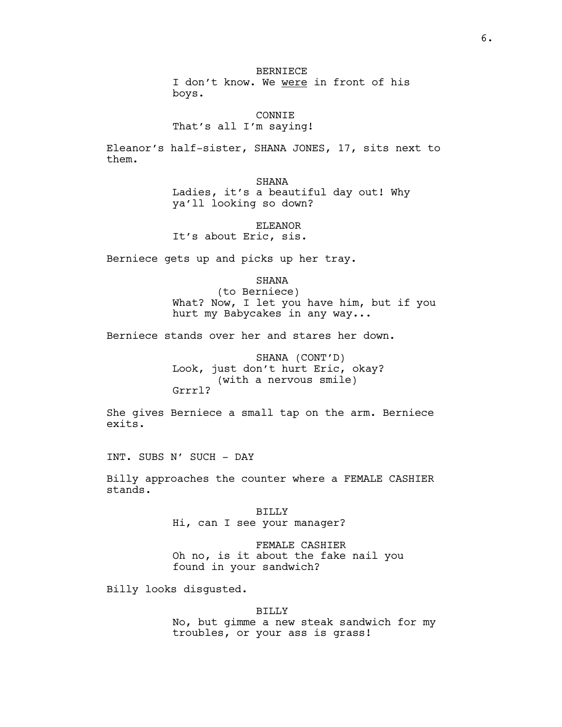BERNIECE I don't know. We were in front of his boys.

CONNIE That's all I'm saying!

Eleanor's half-sister, SHANA JONES, 17, sits next to them.

> SHANA Ladies, it's a beautiful day out! Why ya'll looking so down?

ELEANOR It's about Eric, sis.

Berniece gets up and picks up her tray.

SHANA

(to Berniece) What? Now, I let you have him, but if you hurt my Babycakes in any way...

Berniece stands over her and stares her down.

SHANA (CONT'D) Look, just don't hurt Eric, okay? (with a nervous smile) Grrrl?

She gives Berniece a small tap on the arm. Berniece exits.

INT. SUBS N' SUCH - DAY

Billy approaches the counter where a FEMALE CASHIER stands.

> BILLY Hi, can I see your manager?

FEMALE CASHIER Oh no, is it about the fake nail you found in your sandwich?

Billy looks disgusted.

## BILLY

No, but gimme a new steak sandwich for my troubles, or your ass is grass!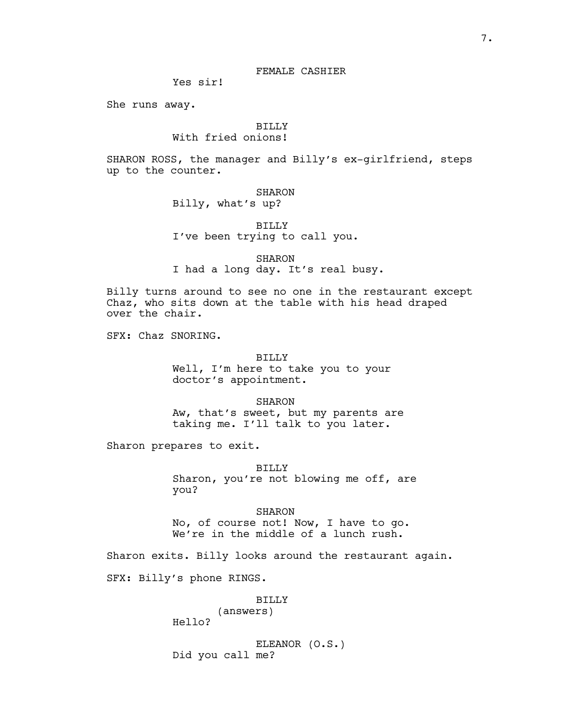# FEMALE CASHIER

Yes sir!

She runs away.

# BILLY

# With fried onions!

SHARON ROSS, the manager and Billy's ex-girlfriend, steps up to the counter.

# SHARON

Billy, what's up?

# BILLY I've been trying to call you.

# SHARON I had a long day. It's real busy.

Billy turns around to see no one in the restaurant except Chaz, who sits down at the table with his head draped over the chair.

SFX: Chaz SNORING.

BILLY Well, I'm here to take you to your doctor's appointment.

SHARON Aw, that's sweet, but my parents are taking me. I'll talk to you later.

Sharon prepares to exit.

BILLY Sharon, you're not blowing me off, are you?

SHARON No, of course not! Now, I have to go. We're in the middle of a lunch rush.

Sharon exits. Billy looks around the restaurant again.

SFX: Billy's phone RINGS.

## BILLY

# (answers)

Hello?

ELEANOR (O.S.) Did you call me?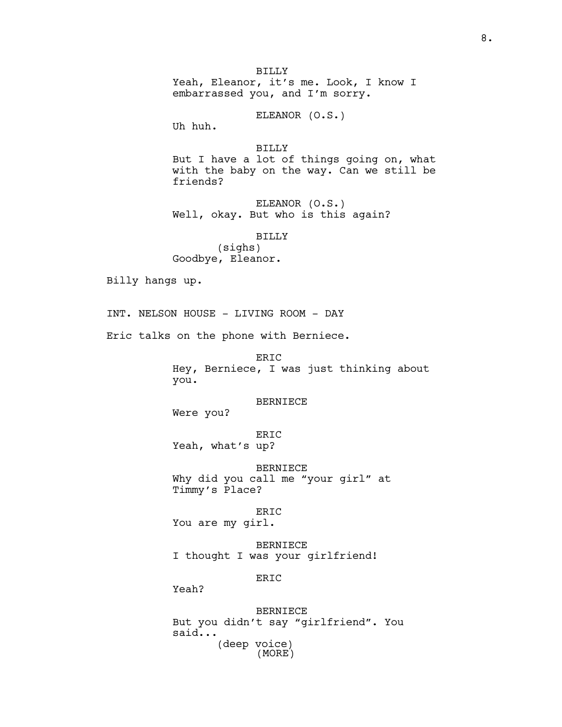BILLY Yeah, Eleanor, it's me. Look, I know I embarrassed you, and I'm sorry.

ELEANOR (O.S.)

Uh huh.

BILLY But I have a lot of things going on, what with the baby on the way. Can we still be friends?

ELEANOR (O.S.) Well, okay. But who is this again?

BILLY (sighs) Goodbye, Eleanor.

Billy hangs up.

INT. NELSON HOUSE - LIVING ROOM - DAY

Eric talks on the phone with Berniece.

ERIC Hey, Berniece, I was just thinking about you.

BERNIECE

Were you?

ERIC Yeah, what's up?

BERNIECE Why did you call me "your girl" at Timmy's Place?

ERIC You are my girl.

BERNIECE I thought I was your girlfriend!

ER<sub>TC</sub>

Yeah?

BERNIECE But you didn't say "girlfriend". You said... (deep voice) (MORE)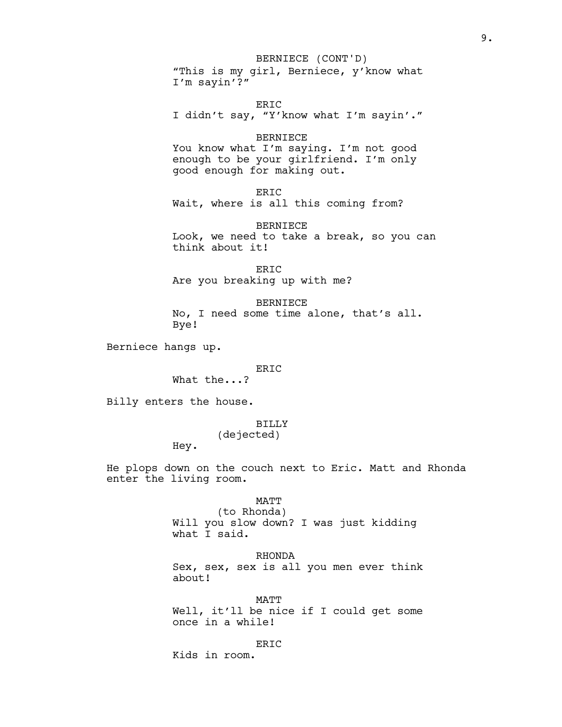## BERNIECE (CONT'D)

"This is my girl, Berniece, y'know what I'm sayin'?"

ERIC I didn't say, "Y'know what I'm sayin'."

# BERNIECE

You know what I'm saying. I'm not good enough to be your girlfriend. I'm only good enough for making out.

```
ERIC
```
Wait, where is all this coming from?

BERNIECE Look, we need to take a break, so you can think about it!

ERIC Are you breaking up with me?

BERNIECE No, I need some time alone, that's all. Bye!

Berniece hangs up.

# ERIC

What the...?

Billy enters the house.

# BILLY

(dejected)

Hey.

He plops down on the couch next to Eric. Matt and Rhonda enter the living room.

# MATT

(to Rhonda) Will you slow down? I was just kidding what I said.

## RHONDA

Sex, sex, sex is all you men ever think about!

MATT Well, it'll be nice if I could get some once in a while!

ERIC

Kids in room.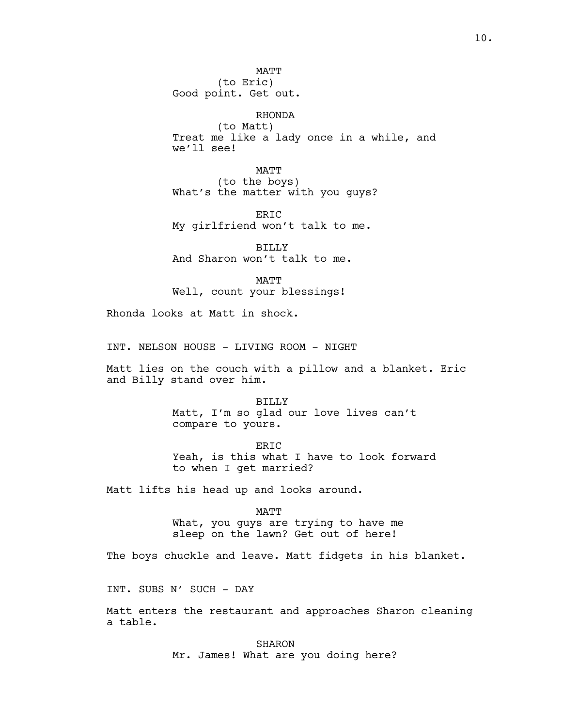MATT (to Eric) Good point. Get out.

RHONDA (to Matt) Treat me like a lady once in a while, and we'll see!

MATT (to the boys) What's the matter with you guys?

ERIC My girlfriend won't talk to me.

BILLY And Sharon won't talk to me.

MATT Well, count your blessings!

Rhonda looks at Matt in shock.

INT. NELSON HOUSE - LIVING ROOM - NIGHT

Matt lies on the couch with a pillow and a blanket. Eric and Billy stand over him.

> BILLY Matt, I'm so glad our love lives can't compare to yours.

ERIC Yeah, is this what I have to look forward to when I get married?

Matt lifts his head up and looks around.

MATT What, you guys are trying to have me sleep on the lawn? Get out of here!

The boys chuckle and leave. Matt fidgets in his blanket.

INT. SUBS N' SUCH - DAY

Matt enters the restaurant and approaches Sharon cleaning a table.

> SHARON Mr. James! What are you doing here?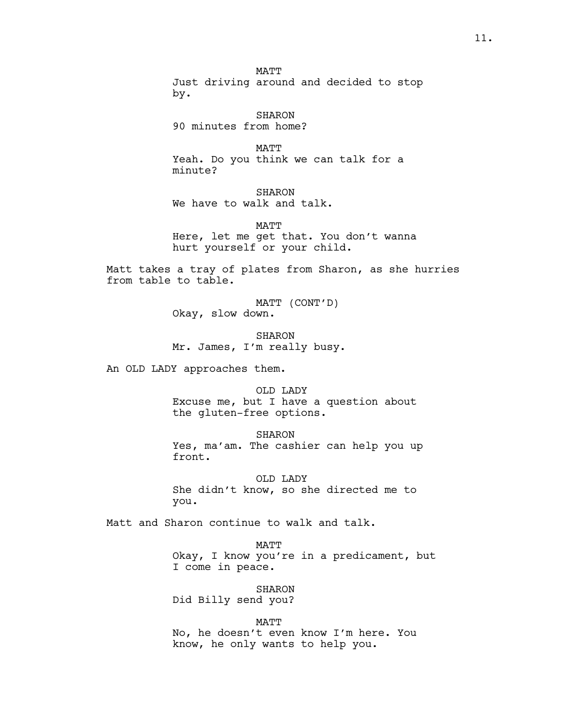MATT Just driving around and decided to stop by.

SHARON 90 minutes from home?

MATT Yeah. Do you think we can talk for a minute?

SHARON We have to walk and talk.

MATT Here, let me get that. You don't wanna hurt yourself or your child.

Matt takes a tray of plates from Sharon, as she hurries from table to table.

> MATT (CONT'D) Okay, slow down.

SHARON Mr. James, I'm really busy.

An OLD LADY approaches them.

OLD LADY Excuse me, but I have a question about the gluten-free options.

SHARON Yes, ma'am. The cashier can help you up front.

OLD LADY She didn't know, so she directed me to you.

Matt and Sharon continue to walk and talk.

MATT Okay, I know you're in a predicament, but I come in peace.

SHARON Did Billy send you?

MATT No, he doesn't even know I'm here. You know, he only wants to help you.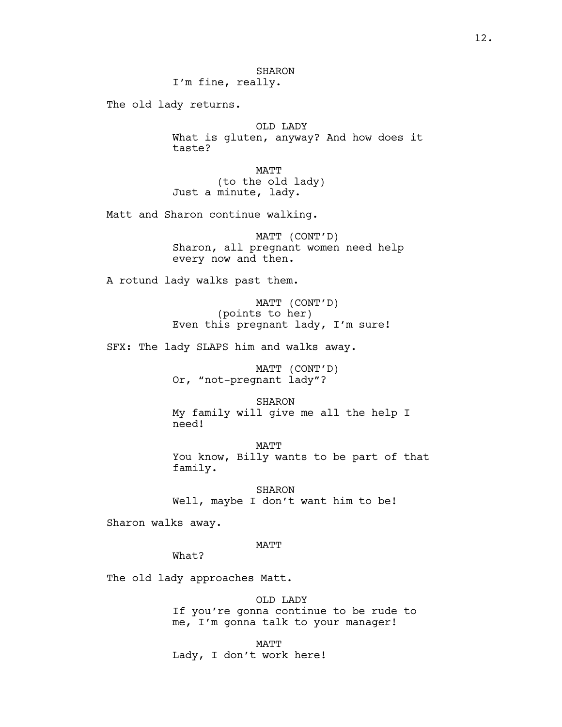The old lady returns.

OLD LADY What is gluten, anyway? And how does it taste?

MATT (to the old lady) Just a minute, lady.

Matt and Sharon continue walking.

MATT (CONT'D) Sharon, all pregnant women need help every now and then.

A rotund lady walks past them.

MATT (CONT'D) (points to her) Even this pregnant lady, I'm sure!

SFX: The lady SLAPS him and walks away.

MATT (CONT'D) Or, "not-pregnant lady"?

SHARON My family will give me all the help I need!

MATT You know, Billy wants to be part of that family.

SHARON Well, maybe I don't want him to be!

Sharon walks away.

# MATT

What?

The old lady approaches Matt.

OLD LADY If you're gonna continue to be rude to me, I'm gonna talk to your manager!

MATT Lady, I don't work here!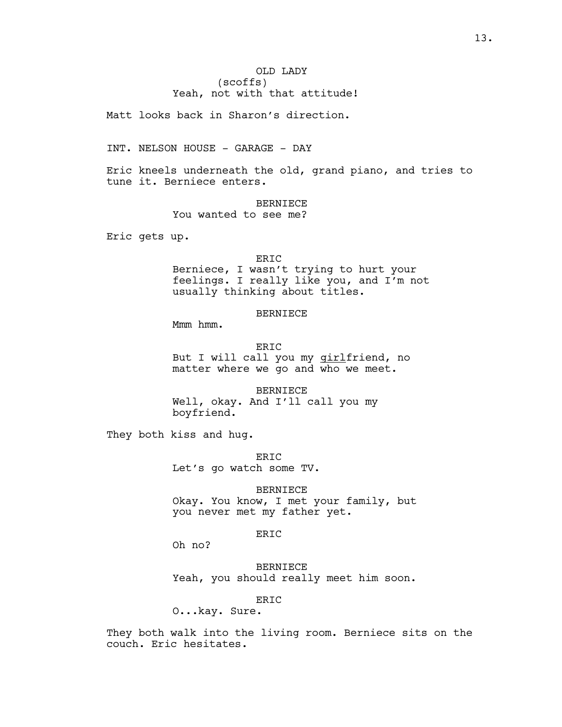# OLD LADY (scoffs) Yeah, not with that attitude!

Matt looks back in Sharon's direction.

INT. NELSON HOUSE - GARAGE - DAY

Eric kneels underneath the old, grand piano, and tries to tune it. Berniece enters.

BERNIECE

You wanted to see me?

Eric gets up.

## ERIC

Berniece, I wasn't trying to hurt your feelings. I really like you, and I'm not usually thinking about titles.

# BERNIECE

Mmm hmm.

ERIC But I will call you my *girlfriend*, no matter where we go and who we meet.

BERNIECE Well, okay. And I'll call you my boyfriend.

They both kiss and hug.

ERIC Let's go watch some TV.

BERNIECE

Okay. You know, I met your family, but you never met my father yet.

# ERIC

Oh no?

BERNIECE Yeah, you should really meet him soon.

ERIC

O...kay. Sure.

They both walk into the living room. Berniece sits on the couch. Eric hesitates.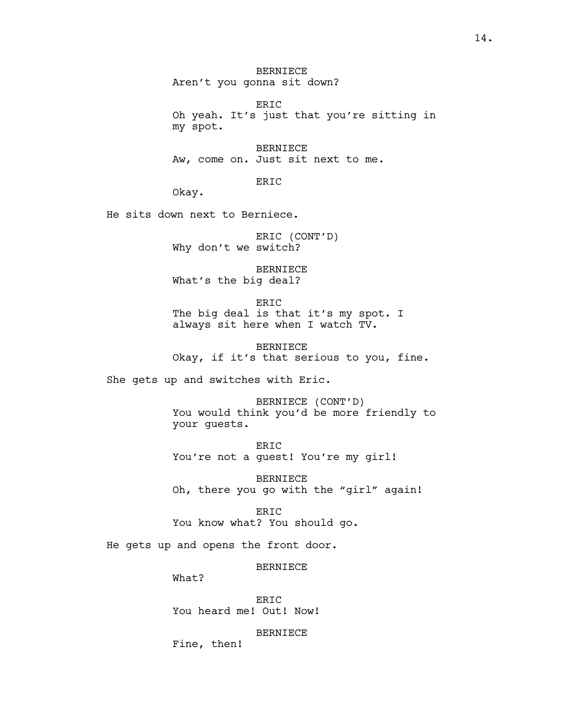BERNIECE Aren't you gonna sit down?

ERIC Oh yeah. It's just that you're sitting in my spot.

BERNIECE Aw, come on. Just sit next to me.

ERIC

Okay.

He sits down next to Berniece.

ERIC (CONT'D) Why don't we switch?

BERNIECE What's the big deal?

ERIC The big deal is that it's my spot. I always sit here when I watch TV.

BERNIECE Okay, if it's that serious to you, fine.

She gets up and switches with Eric.

BERNIECE (CONT'D) You would think you'd be more friendly to your guests.

ERIC You're not a guest! You're my girl!

BERNIECE Oh, there you go with the "girl" again!

ERIC You know what? You should go.

He gets up and opens the front door.

BERNIECE

What?

ERIC You heard me! Out! Now!

BERNIECE

Fine, then!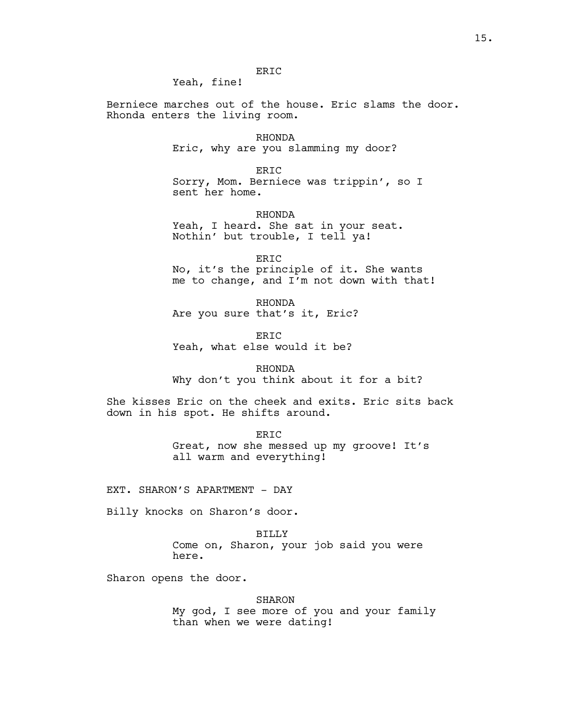ERIC Yeah, fine!

Berniece marches out of the house. Eric slams the door. Rhonda enters the living room.

> RHONDA Eric, why are you slamming my door?

ERIC Sorry, Mom. Berniece was trippin', so I sent her home.

RHONDA

Yeah, I heard. She sat in your seat. Nothin' but trouble, I tell ya!

ERIC No, it's the principle of it. She wants me to change, and I'm not down with that!

RHONDA Are you sure that's it, Eric?

ER<sub>IC</sub> Yeah, what else would it be?

RHONDA Why don't you think about it for a bit?

She kisses Eric on the cheek and exits. Eric sits back down in his spot. He shifts around.

> ERIC Great, now she messed up my groove! It's all warm and everything!

EXT. SHARON'S APARTMENT - DAY

Billy knocks on Sharon's door.

BILLY Come on, Sharon, your job said you were here.

Sharon opens the door.

SHARON

My god, I see more of you and your family than when we were dating!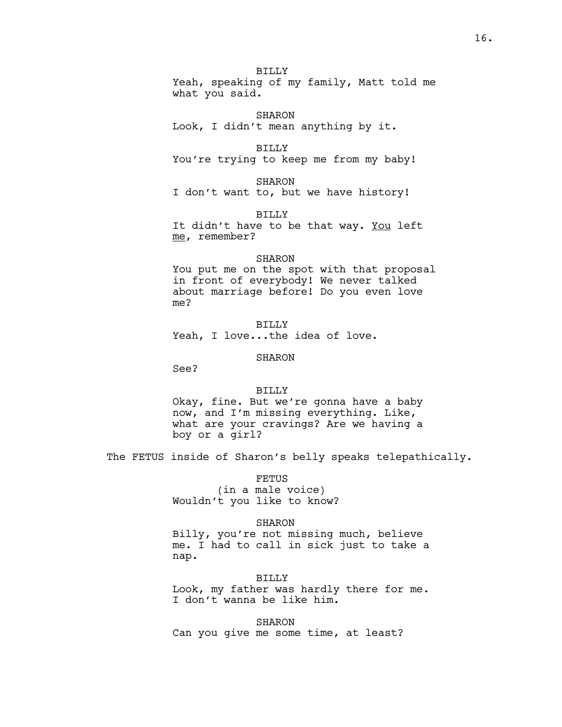BILLY Yeah, speaking of my family, Matt told me what you said.

SHARON Look, I didn't mean anything by it.

BILLY You're trying to keep me from my baby!

SHARON I don't want to, but we have history!

BILLY It didn't have to be that way. You left me, remember?

# SHARON

You put me on the spot with that proposal in front of everybody! We never talked about marriage before! Do you even love me?

BILLY Yeah, I love...the idea of love.

# SHARON

See?

# BILLY

Okay, fine. But we're gonna have a baby now, and I'm missing everything. Like, what are your cravings? Are we having a boy or a girl?

The FETUS inside of Sharon's belly speaks telepathically.

FETUS

(in a male voice) Wouldn't you like to know?

# SHARON

Billy, you're not missing much, believe me. I had to call in sick just to take a nap.

BILLY Look, my father was hardly there for me. I don't wanna be like him.

SHARON Can you give me some time, at least?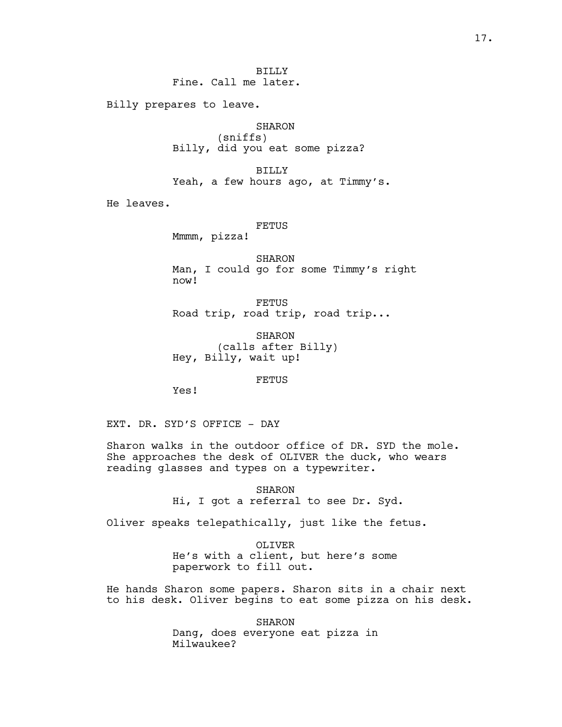BILLY Fine. Call me later.

Billy prepares to leave.

SHARON (sniffs) Billy, did you eat some pizza?

BILLY Yeah, a few hours ago, at Timmy's.

He leaves.

FETUS

Mmmm, pizza!

SHARON Man, I could go for some Timmy's right now!

FETUS Road trip, road trip, road trip...

SHARON (calls after Billy) Hey, Billy, wait up!

FETUS

Yes!

EXT. DR. SYD'S OFFICE - DAY

Sharon walks in the outdoor office of DR. SYD the mole. She approaches the desk of OLIVER the duck, who wears reading glasses and types on a typewriter.

> SHARON Hi, I got a referral to see Dr. Syd.

Oliver speaks telepathically, just like the fetus.

OLIVER He's with a client, but here's some paperwork to fill out.

He hands Sharon some papers. Sharon sits in a chair next to his desk. Oliver begins to eat some pizza on his desk.

> SHARON Dang, does everyone eat pizza in Milwaukee?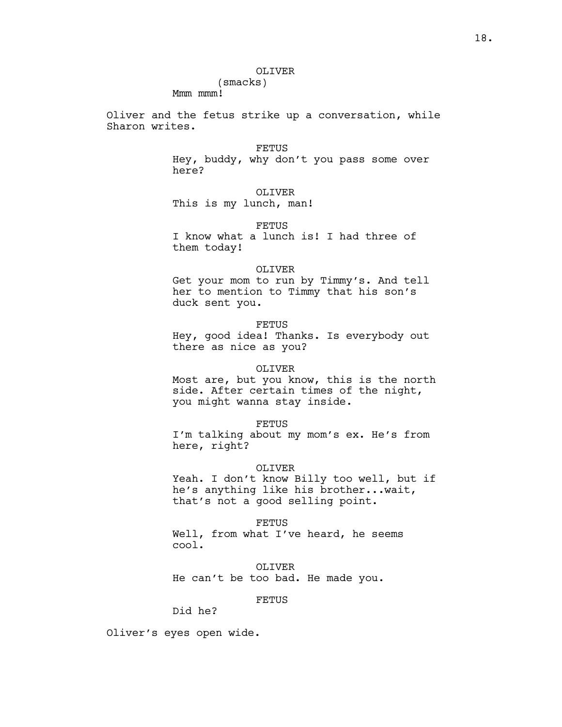## OLIVER

Mmm mmm!

Oliver and the fetus strike up a conversation, while Sharon writes.

FETUS

Hey, buddy, why don't you pass some over here?

OLIVER

This is my lunch, man!

(smacks)

FETUS

I know what a lunch is! I had three of them today!

#### OLIVER

Get your mom to run by Timmy's. And tell her to mention to Timmy that his son's duck sent you.

FETUS

Hey, good idea! Thanks. Is everybody out there as nice as you?

# OLIVER

Most are, but you know, this is the north side. After certain times of the night, you might wanna stay inside.

#### FETUS

I'm talking about my mom's ex. He's from here, right?

#### OLIVER

Yeah. I don't know Billy too well, but if he's anything like his brother...wait, that's not a good selling point.

#### FETUS

Well, from what I've heard, he seems cool.

OLIVER He can't be too bad. He made you.

# FETUS

Did he?

Oliver's eyes open wide.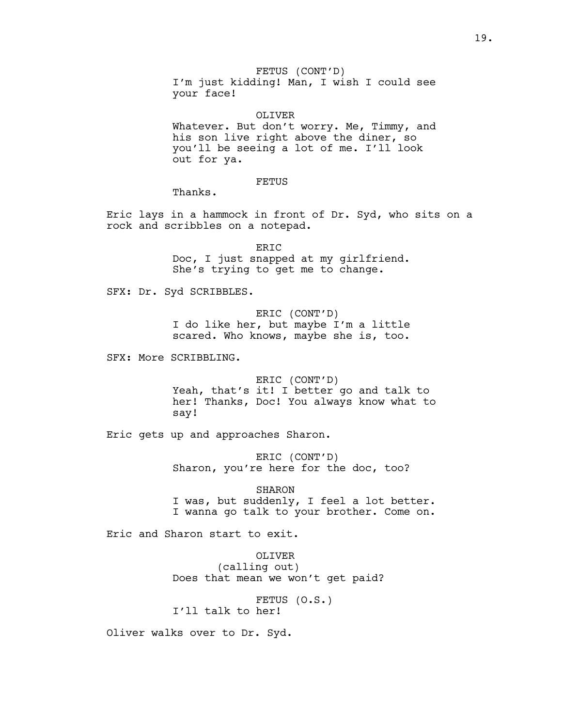FETUS (CONT'D) I'm just kidding! Man, I wish I could see your face!

OLIVER Whatever. But don't worry. Me, Timmy, and his son live right above the diner, so you'll be seeing a lot of me. I'll look out for ya.

# FETUS

Thanks.

Eric lays in a hammock in front of Dr. Syd, who sits on a rock and scribbles on a notepad.

> ERIC Doc, I just snapped at my girlfriend. She's trying to get me to change.

SFX: Dr. Syd SCRIBBLES.

ERIC (CONT'D) I do like her, but maybe I'm a little scared. Who knows, maybe she is, too.

SFX: More SCRIBBLING.

ERIC (CONT'D) Yeah, that's it! I better go and talk to her! Thanks, Doc! You always know what to say!

Eric gets up and approaches Sharon.

ERIC (CONT'D) Sharon, you're here for the doc, too?

SHARON I was, but suddenly, I feel a lot better. I wanna go talk to your brother. Come on.

Eric and Sharon start to exit.

OLIVER (calling out) Does that mean we won't get paid?

FETUS (O.S.) I'll talk to her!

Oliver walks over to Dr. Syd.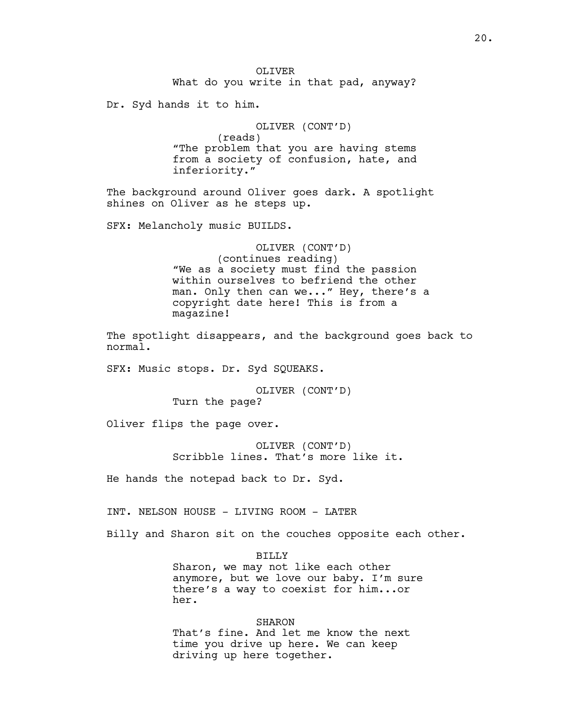Dr. Syd hands it to him.

OLIVER (CONT'D) (reads) "The problem that you are having stems from a society of confusion, hate, and inferiority."

The background around Oliver goes dark. A spotlight shines on Oliver as he steps up.

SFX: Melancholy music BUILDS.

OLIVER (CONT'D) (continues reading) "We as a society must find the passion within ourselves to befriend the other man. Only then can we..." Hey, there's a copyright date here! This is from a magazine!

The spotlight disappears, and the background goes back to normal.

SFX: Music stops. Dr. Syd SQUEAKS.

OLIVER (CONT'D) Turn the page?

Oliver flips the page over.

OLIVER (CONT'D) Scribble lines. That's more like it.

He hands the notepad back to Dr. Syd.

INT. NELSON HOUSE - LIVING ROOM - LATER

Billy and Sharon sit on the couches opposite each other.

BILLY

Sharon, we may not like each other anymore, but we love our baby. I'm sure there's a way to coexist for him...or her.

SHARON That's fine. And let me know the next time you drive up here. We can keep driving up here together.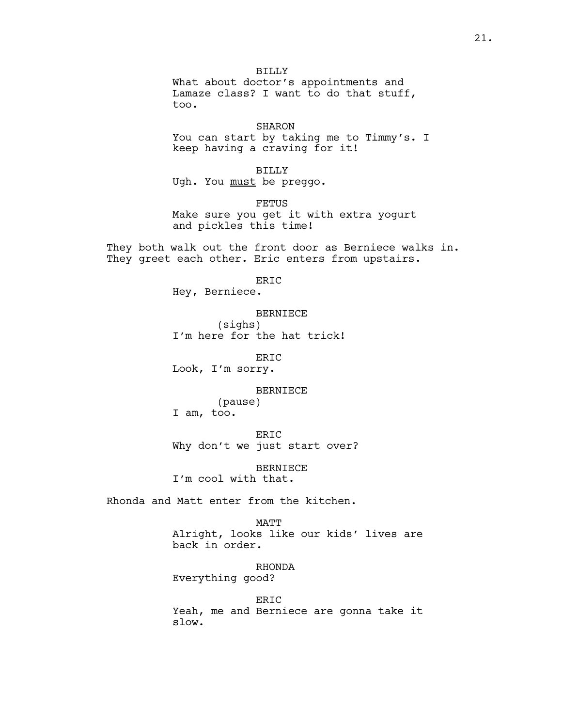BILLY What about doctor's appointments and Lamaze class? I want to do that stuff, too.

## SHARON

You can start by taking me to Timmy's. I keep having a craving for it!

BILLY

Ugh. You must be preggo.

FETUS Make sure you get it with extra yogurt and pickles this time!

They both walk out the front door as Berniece walks in. They greet each other. Eric enters from upstairs.

ERIC

Hey, Berniece.

## BERNIECE

(sighs) I'm here for the hat trick!

ERIC

Look, I'm sorry.

#### BERNIECE

(pause) I am, too.

ERIC Why don't we just start over?

BERNIECE

I'm cool with that.

Rhonda and Matt enter from the kitchen.

#### MATT

Alright, looks like our kids' lives are back in order.

RHONDA Everything good?

ERIC Yeah, me and Berniece are gonna take it slow.